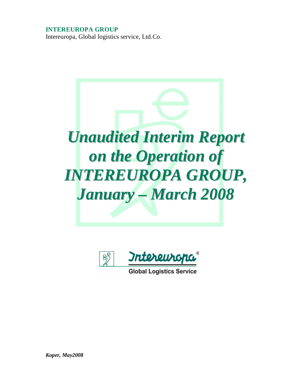## **INTEREUROPA GROUP**

Intereuropa, Global logistics service, Ltd.Co.





*Koper, May2008*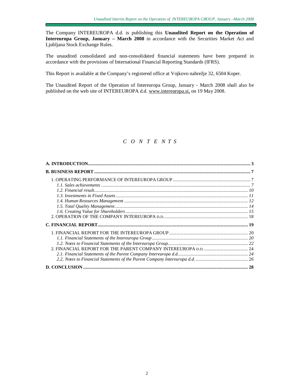The Company INTEREUROPA d.d. is publishing this **Unaudited Report on the Operation of Intereuropa Group, January – March 2008** in accordance with the Securities Market Act and Ljubljana Stock Exchange Rules.

The unaudited consolidated and non-consolidated financial statements have been prepared in accordance with the provisions of International Financial Reporting Standards (IFRS).

This Report is available at the Company's registered office at Vojkovo nabrežje 32, 6504 Koper.

The Unaudited Report of the Operation of Intereuropa Group, January - March 2008 shall also be published on the web site of INTEREUROPA d.d. [www.intereuropa.si](http://www.intereuropa.si), on 19 May 2008.

## *C O N T E N T S*

| 28 |
|----|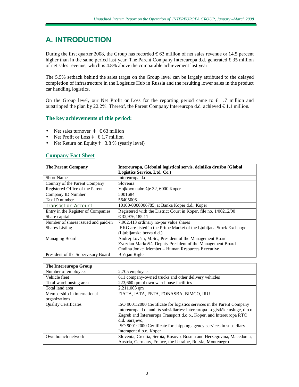# **A. INTRODUCTION**

During the first quarter 2008, the Group has recorded  $\epsilon$ 63 million of net sales revenue or 14.5 percent higher than in the same period last year. The Parent Company Intereuropa d.d. generated €35 million of net sales revenue, which is 4.8% above the comparable achievement last year

The 5.5% setback behind the sales target on the Group level can be largely attributed to the delayed completion of infrastructure in the Logistics Hub in Russia and the resulting lower sales in the product car handling logistics.

On the Group level, our Net Profit or Loss for the reporting period came to  $\epsilon$  1.7 million and outstripped the plan by 22.2%. Thereof, the Parent Company Intereuropa d.d. achieved  $\epsilon$ 1.1 million.

#### **The key achievements of this period:**

- Net sales turnover  $\hat{a} \in 63$  million
- Net Profit or Loss  $\hat{a} \in 1.7$  million
- Net Return on Equity  $\hat{a}$  3.8 % (yearly level)

### **Company Fact Sheet**

| <b>The Parent Company</b>           | Intereuropa, Globalni logistični servis, delniška družba (Global    |  |  |  |
|-------------------------------------|---------------------------------------------------------------------|--|--|--|
|                                     | Logistics Service, Ltd. Co.)                                        |  |  |  |
| <b>Short Name</b>                   | Intereuropa d.d.                                                    |  |  |  |
| Country of the Parent Company       | Slovenia                                                            |  |  |  |
| Registered Office of the Parent     | Vojkovo nabrežje 32, 6000 Koper                                     |  |  |  |
| Company ID Number                   | 5001684                                                             |  |  |  |
| Tax ID number                       | 56405006                                                            |  |  |  |
| <b>Transaction Account</b>          | 10100-0000006785, at Banka Koper d.d., Koper                        |  |  |  |
| Entry in the Register of Companies  | Registered with the District Court in Koper, file no. 1/00212/00    |  |  |  |
| Share capital                       | €32,976,185.11                                                      |  |  |  |
| Number of shares issued and paid-in | 7,902,413 ordinary no-par value shares                              |  |  |  |
| <b>Shares</b> Listing               | IEKG are listed in the Prime Market of the Ljubljana Stock Exchange |  |  |  |
|                                     | (Ljubljanska borza d.d.).                                           |  |  |  |
| Managing Board                      | Andrej Lovšin, M.Sc., President of the Management Board             |  |  |  |
|                                     | Zvezdan Markežič, Deputy President of the Management Board          |  |  |  |
|                                     | Ondina Jonke, Member - Human Resources Executive                    |  |  |  |
| President of the Supervisory Board  | Boštjan Rigler                                                      |  |  |  |

| The Intereuropa Group       |                                                                              |
|-----------------------------|------------------------------------------------------------------------------|
| Number of employees         | 2,705 employees                                                              |
| Vehicle fleet               | 611 company-owned trucks and other delivery vehicles                         |
| Total warehousing area      | 223,660 qm of own warehouse facilities                                       |
| Total land area             | 2,211.003 qm                                                                 |
| Membership in international | FIATA, IATA, FETA, FONASBA, BIMCO, IRU                                       |
| organizations               |                                                                              |
| <b>Ouality Certificates</b> | ISO 9001:2000 Certificate for logistics services in the Parent Company       |
|                             | Intereuropa d.d. and its subsidiaries: Intereuropa Logističke usluge, d.o.o. |
|                             | Zagreb and Intereuropa Transport d.o.o., Koper, and Intereuropa RTC          |
|                             | d.d. Sarajevo,                                                               |
|                             | ISO 9001:2000 Certificate for shipping agency services in subsidiary         |
|                             | Interagent d.o.o. Koper                                                      |
| Own branch network          | Slovenia, Croatia, Serbia, Kosovo, Bosnia and Herzegovina, Macedonia,        |
|                             | Austria, Germany, France, the Ukraine, Russia, Montenegro                    |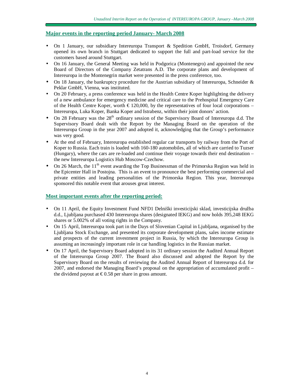#### **Major events in the reporting period January- March 2008**

- On 1 January, our subsidiary Intereuropa Transport & Spedition GmbH, Troisdorf, Germany opened its own branch in Stuttgart dedicated to support the full and part-load service for the customers based around Stuttgart.
- On 16 January, the General Meeting was held in Podgorica (Montenegro) and appointed the new Board of Directors of the Company Zetatrans A.D. The corporate plans and development of Intereuropa in the Montenegrin market were presented in the press conference, too.
- On 18 January, the bankruptcy procedure for the Austrian subsidiary of Intereuropa, Schneider  $\&$ Peklar GmbH, Vienna, was instituted.
- On 20 February, a press conference was held in the Health Centre Koper highlighting the delivery of a new ambulance for emergency medicine and critical care to the Prehospital Emergency Care of the Health Centre Koper, worth  $\epsilon$  120,000, by the representatives of four local corporations – Intereuropa, Luka Koper, Banka Koper and Istrabenz, within their joint donors' action.
- On 28 February was the 28<sup>th</sup> ordinary session of the Supervisory Board of Intereuropa d.d. The Supervisory Board dealt with the Report by the Managing Board on the operation of the Intereuropa Group in the year 2007 and adopted it, acknowledging that the Group's performance was very good.
- At the end of February, Intereuropa established regular car transports by railway from the Port of Koper to Russia. Each train is loaded with 160-180 automobiles, all of which are carried to Tuzser (Hungary), where the cars are re-loaded and continue their voyage towards their end destination – the new Intereuropa Logistics Hub Moscow-Czechow.
- On 26 March, the  $11<sup>th</sup>$  event awarding the Top Businessman of the Primorska Region was held in the Epicenter Hall in Postojna. This is an event to pronounce the best performing commercial and private entities and leading personalities of the Primorska Region. This year, Intereuropa sponsored this notable event that arouses great interest.

#### **Most important events after the reporting period:**

- On 11 April, the Equity Investment Fund NFD1 Delniški investicijski sklad, investicijska družba d.d., Ljubljana purchased 430 Intereuropa shares (designated IEKG) and now holds 395,248 IEKG shares or 5.002% of all voting rights in the Company.
- On 15 April, Intereuropa took part in the Days of Slovenian Capital in Ljubljana, organised by the Ljubljana Stock Exchange, and presented its corporate development plans, sales income estimate and prospects of the current investment project in Russia, by which the Intereuropa Group is assuming an increasingly important role in car handling logistics in the Russian market.
- On 17 April, the Supervisory Board adopted in its 31 ordinary session the Audited Annual Report of the Intereuropa Group 2007. The Board also discussed and adopted the Report by the Supervisory Board on the results of reviewing the Audited Annual Report of Intereuropa d.d. for 2007, and endorsed the Managing Board's proposal on the appropriation of accumulated profit – the dividend payout at  $\epsilon$ 0.58 per share in gross amount.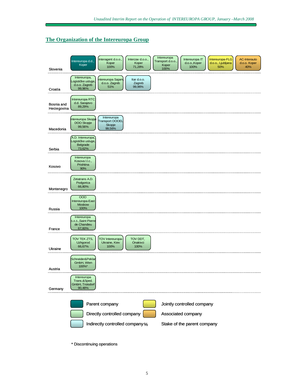### **The Organization of the Intereuropa Group**



\* Discontinuing operations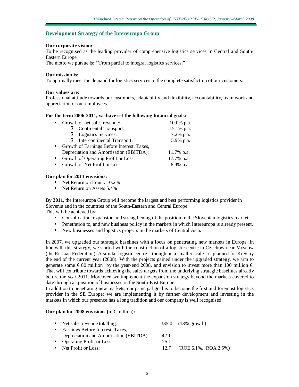#### **Development Strategy of the Intereuropa Group**

#### **Our corporate vision:**

To be recognised as the leading provider of comprehensive logistics services in Central and South-Eastern Europe.

The motto we pursue is: "From partial to integral logistics services."

#### **Our mission is:**

To optimally meet the demand for logistics services to the complete satisfaction of our customers.

#### **Our values are:**

Professional attitude towards our customers, adaptability and flexibility, accountability, team work and appreciation of our employees.

#### **For the term 2006-2011, we have set the following financial goals:**

| Growth of net sales revenue:               | $10.0\%$ p.a. |
|--------------------------------------------|---------------|
| <b>Continental Transport:</b><br>ξ         | 15.1% p.a.    |
| <b>Logistics Services:</b><br>ξ            | 7.2% p.a.     |
| Intercontinental Transport:<br>ξī          | 5.9% p.a.     |
| Growth of Earnings Before Interest, Taxes, |               |
| Depreciation and Amortisation (EBITDA):    | 11.7% p.a.    |
| Growth of Operating Profit or Loss:        | 17.7% p.a.    |
| Growth of Net Profit or Loss:              | 6.9% p.a.     |

#### **Our plan for 2011 envisions:**

- Net Return on Equity 10.2%
- Net Return on Assets 5.4%

**By 2011,** the Intereuropa Group will become the largest and best performing logistics provider in Slovenia and in the countries of the South-Eastern and Central Europe. This will be achieved by:

- Consolidation, expansion and strengthening of the position in the Slovenian logistics market,
- Penetration to, and new business policy in the markets in which Intereuropa is already present,
- New businesses and logistics projects in the markets of Central Asia.

In 2007, we upgraded our strategic baselines with a focus on penetrating new markets in Europe. In line with this strategy, we started with the construction of a logistic centre in Czechow near Moscow (the Russian Federation). A similar logistic centre – though on a smaller scale - is planned for Kiev by the end of the current year (2008). With the projects gained under the upgraded strategy, we aim to generate some  $\epsilon$ 80 million by the year-end 2008, and envision to invest more than 100 million  $\epsilon$ . That will contribute towards achieving the sales targets from the underlying strategic baselines already before the year 2011. Moreover, we implement the expansion strategy beyond the markets covered to date through acquisition of businesses in the South-East Europe.

In addition to penetrating new markets, our principal goal is to become the first and foremost logistics provider in the SE Europe: we are implementing it by further development and investing in the markets in which our presence has a long tradition and our company is well recognised.

#### **Our plan for 2008 envisions (**in € million)**:**

| • Net sales revenue totalling:          |      | 335.0 (13% growth)       |
|-----------------------------------------|------|--------------------------|
| Earnings Before Interest, Taxes,        |      |                          |
| Depreciation and Amortisation (EBITDA): | 42.1 |                          |
| • Operating Profit or Loss:             | 25.1 |                          |
| • Net Profit or Loss:                   | 12.7 | $(ROE 6.1\%, ROA 2.5\%)$ |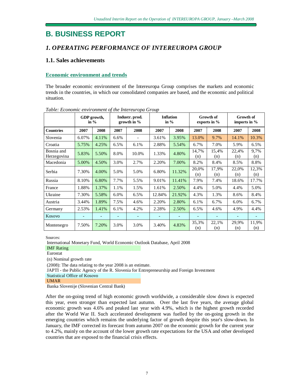# **B. BUSINESS REPORT**

## *1. OPERATING PERFORMANCE OF INTEREUROPA GROUP*

## **1.1. Sales achievements**

### **Economic environment and trends**

The broader economic environment of the Intereuropa Group comprises the markets and economic trends in the countries, in which our consolidated companies are based, and the economic and political situation.

|                           |       | GDP growth,<br>in $%$    |                          | Industr. prod.<br>growth in $\%$ | <b>Inflation</b><br><b>Growth of</b><br>in $\%$<br>exports in % |        |              |                          | <b>Growth of</b><br>imports in $%$ |              |
|---------------------------|-------|--------------------------|--------------------------|----------------------------------|-----------------------------------------------------------------|--------|--------------|--------------------------|------------------------------------|--------------|
| <b>Countries</b>          | 2007  | 2008                     | 2007                     | 2008                             | 2007                                                            | 2008   | 2007         | 2008                     | 2007                               | 2008         |
| Slovenia                  | 6.07% | 4.11%                    | 6.6%                     |                                  | 3.61%                                                           | 3.95%  | 13.0%        | 9.7%                     | 14.1%                              | 10.3%        |
| Croatia                   | 5.75% | 4.25%                    | 6.5%                     | 6.1%                             | 2.88%                                                           | 5.54%  | 6.7%         | 7.0%                     | 5.9%                               | 6.5%         |
| Bosnia and<br>Herzegovina | 5.83% | 5.50%                    | 8.0%                     | 10.0%                            | 1.33%                                                           | 4.80%  | 14,7%<br>(n) | 15,4%<br>(n)             | 22,4%<br>(n)                       | 9,7%<br>(n)  |
| Macedonia                 | 5.00% | 4.50%                    | 3.0%                     | 2.7%                             | 2.20%                                                           | 7.00%  | 8.2%         | 8.4%                     | 8.5%                               | 8.8%         |
| Serbia                    | 7.30% | 4.00%                    | 5.0%                     | 5.0%                             | 6.80%                                                           | 11.32% | 20,0%<br>(n) | 17,9%<br>(n)             | 22,0%<br>(n)                       | 12,3%<br>(n) |
| Russia                    | 8.10% | 6.80%                    | 7.7%                     | 5.5%                             | 9.01%                                                           | 11.41% | 7.9%         | 7.4%                     | 18.6%                              | 17.7%        |
| France                    | 1.88% | 1.37%                    | 1.1%                     | 1.5%                             | 1.61%                                                           | 2.50%  | 4.4%         | 5.0%                     | 4.4%                               | 5.0%         |
| Ukraine                   | 7.30% | 5.58%                    | 6.0%                     | 6.5%                             | 12.84%                                                          | 21.92% | 4.3%         | 1.3%                     | 8.6%                               | 8.4%         |
| Austria                   | 3.44% | 1.89%                    | 7.5%                     | 4.6%                             | 2.20%                                                           | 2.80%  | 6.1%         | 6.7%                     | 6.0%                               | 6.7%         |
| Germany                   | 2.53% | 1.41%                    | 6.1%                     | 4.2%                             | 2.28%                                                           | 2.50%  | 6.5%         | 4.6%                     | 4.9%                               | 4.4%         |
| Kosovo                    | -     | $\overline{\phantom{0}}$ | $\overline{\phantom{0}}$ |                                  | $\overline{\phantom{0}}$                                        | -      |              | $\overline{\phantom{m}}$ |                                    |              |
| Montenegro                | 7.50% | 7.20%                    | 3.0%                     | 3.0%                             | 3.40%                                                           | 4.83%  | 35,3%<br>(n) | 22,1%<br>(n)             | 29,9%<br>(n)                       | 11,9%<br>(n) |

*Table: Economic environment of the Intereuropa Group* 

Sources:

International Monetary Fund, World Economic Outlook Database, April 2008 IMF Rating Eurostat (n) Nominal growth rate (2008): The data relating to the year 2008 is an estimate. JAPTI - the Public Agency of the R. Slovenia for Entrepreneurship and Foreign Investment Statistical Office of Kosovo

UMAR

Banka Slovenije (Slovenian Central Bank)

After the on-going trend of high economic growth worldwide, a considerable slow down is expected this year, even stronger than expected last autumn. Over the last five years, the average global economic growth was 4.6% and peaked last year with 4.9%, which is the highest growth recorded after the World War II. Such accelerated development was fuelled by the on-going growth in the emerging countries which remains the underlying factor of growth despite this year's slow-down. In January, the IMF corrected its forecast from autumn 2007 on the economic growth for the current year to 4.2%, mainly on the account of the lower growth rate expectations for the USA and other developed countries that are exposed to the financial crisis effects.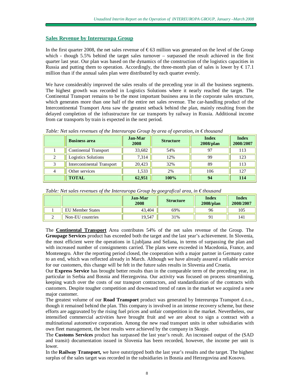#### **Sales Revenue by Intereuropa Group**

In the first quarter 2008, the net sales revenue of  $\epsilon$ 63 million was generated on the level of the Group which - though 5.5% behind the target sales turnover – surpassed the result achieved in the first quarter last year. Our plan was based on the dynamics of the construction of the logistics capacities in Russia and putting them to operation. Accordingly, the three-month plan of sales is lower by  $\epsilon$  17.1 million than if the annual sales plan were distributed by each quarter evenly.

We have considerably improved the sales results of the preceding year in all the business segments. The highest growth was recorded in Logistics Solutions where it nearly reached the target. The Continental Transport remains to be the most important business area in the corporate sales structure, which generates more than one half of the entire net sales revenue. The car-handling product of the Intercontinental Transport Area saw the greatest setback behind the plan, mainly resulting from the delayed completion of the infrastructure for car transports by railway in Russia. Additional income from car transports by train is expected in the next period.

| <b>Business area</b>       | <b>Jan-Mar</b><br>2008 | <b>Structure</b> | <b>Index</b><br>$2008$ /plan | <b>Index</b><br>2008/2007 |
|----------------------------|------------------------|------------------|------------------------------|---------------------------|
| Continental Transport      | 33,682                 | 54%              | 97                           | 113                       |
| <b>Logistics Solutions</b> | 7.314                  | 12%              | 99                           | 123                       |
| Intercontinental Transport | 20,423                 | 32%              | 89                           | 113                       |
| Other services             | 1,533                  | 2%               | 106                          | 127                       |
| <b>TOTAL</b>               | 62,951                 | 100%             | 94                           | 114                       |

*Table: Net sales revenues of the Intereuropa Group by area of operation, in € thousand* 

|   |                         | <b>Jan-Mar</b><br>2008 | <b>Structure</b> | <b>Index</b><br>$2008$ /plan | <b>Index</b><br>2008/2007 |
|---|-------------------------|------------------------|------------------|------------------------------|---------------------------|
|   | <b>EU Member States</b> | 43.404                 | 69%              | 96                           | 105                       |
| ∸ | Non-EU countries        | 9.547                  | 31%              |                              | 141                       |

The **Continental Transport** Area contributes 54% of the net sales revenue of the Group. The **Groupage Services** product has exceeded both the target and the last year's achievement. In Slovenia, the most efficient were the operations in Ljubljana and Sežana, in terms of surpassing the plan and with increased number of consignments carried. The plans were exceeded in Macedonia, France, and Montenegro. After the reporting period closed, the cooperation with a major partner in Germany came to an end, which was reflected already in March. Although we have already assured a reliable service for our customers, this change will be felt in the future sales results in Slovenia and Croatia.

Our **Express Service** has brought better results than in the comparable term of the preceding year, in particular in Serbia and Bosnia and Herzegovina. Our activity was focused on process streamlining, keeping watch over the costs of our transport contractors, and standardization of the contracts with customers. Despite tougher competition and downward trend of rates in the market we acquired a new major customer.

The greatest volume of our **Road Transport** product was generated by Intereuropa Transport d.o.o., though it remained behind the plan. This company is involved in an intense recovery scheme, but these efforts are aggravated by the rising fuel prices and unfair competition in the market. Nevertheless, our intensified commercial activities have brought fruit and we are about to sign a contract with a multinational automotive corporation. Among the new road transport units in other subsidiaries with own fleet management, the best results were achieved by the company in Skopje.

The **Customs Services** product has surpassed the last year's result. An increased output of the (SAD and transit) documentation issued in Slovenia has been recorded, however, the income per unit is lower.

In the **Railway Transport,** we have outstripped both the last year's results and the target. The highest surplus of the sales target was recorded in the subsidiaries in Bosnia and Herzegovina and Kosovo.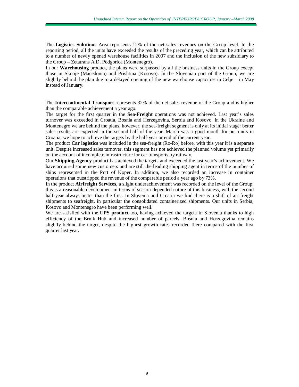The **Logistics Solutions** Area represents 12% of the net sales revenues on the Group level. In the reporting period, all the units have exceeded the results of the preceding year, which can be attributed to a number of newly opened warehouse facilities in 2007 and the inclusion of the new subsidiary to the Group – Zetatrans A.D. Podgorica (Montenegro).

In our **Warehousing** product, the plans were surpassed by all the business units in the Group except those in Skopje (Macedonia) and Prishtina (Kosovo). In the Slovenian part of the Group, we are slightly behind the plan due to a delayed opening of the new warehouse capacities in Celje – in May instead of January.

The **Intercontinental Transport** represents 32% of the net sales revenue of the Group and is higher than the comparable achievement a year ago.

The target for the first quarter in the **Sea-Freight** operations was not achieved. Last year's sales turnover was exceeded in Croatia, Bosnia and Herzegovina, Serbia and Kosovo. In the Ukraine and Montenegro we are behind the plans, however, the sea-freight segment is only at its initial stage: better sales results are expected in the second half of the year. March was a good month for our units in Croatia: we hope to achieve the targets by the half-year or end of the current year.

The product **Car logistics** was included in the sea-freight (Ro-Ro) before, with this year it is a separate unit. Despite increased sales turnover, this segment has not achieved the planned volume yet primarily on the account of incomplete infrastructure for car transports by railway.

Our **Shipping Agency** product has achieved the targets and exceeded the last year's achievement. We have acquired some new customers and are still the leading shipping agent in terms of the number of ships represented in the Port of Koper. In addition, we also recorded an increase in container operations that outstripped the revenue of the comparable period a year ago by 73%.

In the product **Airfreight Services**, a slight underachievement was recorded on the level of the Group: this is a reasonable development in terms of season-depended nature of this business, with the second half-year always better than the first. In Slovenia and Croatia we find there is a shift of air freight shipments to seafreight, in particular the consolidated containerized shipments. Our units in Serbia, Kosovo and Montenegro have been performing well.

We are satisfied with the **UPS product** too, having achieved the targets in Slovenia thanks to high efficiency of the Brnik Hub and increased number of parcels. Bosnia and Herzegovina remains slightly behind the target, despite the highest growth rates recorded there compared with the first quarter last year.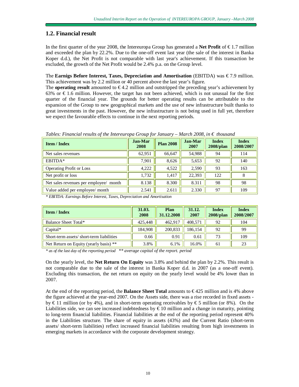## **1.2. Financial result**

In the first quarter of the year 2008, the Intereuropa Group has generated a **Net Profit** of € 1.7 million and exceeded the plan by 22.2%. Due to the one-off event last year (the sale of the interest in Banka Koper d.d.), the Net Profit is not comparable with last year's achievement. If this transaction be excluded, the growth of the Net Profit would be 2.4% p.a. on the Group level.

The **Earnigs Before Interest, Taxes, Depreciation and Amortisation** (EBITDA) was € 7.9 million. This achievement was by 2.2 million or 40 percent above the last year's figure.

The **operating result** amounted to  $\epsilon$ 4.2 million and outstripped the preceding year's achievement by 63% or  $€1.6$  million. However, the target has not been achieved, which is not unusual for the first quarter of the financial year. The grounds for better operating results can be attributable to the expansion of the Group to new geographical markets and the use of new infrastructure built thanks to great investments in the past. However, the new infrastructure is not being used in full yet, therefore we expect the favourable effects to continue in the next reporting periods.

| $1.1$ $1.1$ $1.1$ $1.1$ $1.1$ $1.1$ $1.1$ $1.1$ $1.1$ $1.1$ $1.1$ $1.1$ $1.1$ |                        |                  |                        |                              |                           |  |  |
|-------------------------------------------------------------------------------|------------------------|------------------|------------------------|------------------------------|---------------------------|--|--|
| <b>Item / Index</b>                                                           | <b>Jan-Mar</b><br>2008 | <b>Plan 2008</b> | <b>Jan-Mar</b><br>2007 | <b>Index</b><br>$2008$ /plan | <b>Index</b><br>2008/2007 |  |  |
| Net sales revenues                                                            | 62,951                 | 66,647           | 54,988                 | 94                           | 114                       |  |  |
| EBITDA*                                                                       | 7,901                  | 8,626            | 5,653                  | 92                           | 140                       |  |  |
| <b>Operating Profit or Loss</b>                                               | 4,222                  | 4,522            | 2,590                  | 93                           | 163                       |  |  |
| Net profit or loss                                                            | 1,732                  | 1.417            | 22,393                 | 122                          | 8                         |  |  |
| Net sales revenues per employee/ month                                        | 8.138                  | 8.300            | 8.311                  | 98                           | 98                        |  |  |
| Value added per employee/ month                                               | 2.541                  | 2.611            | 2.330                  | 97                           | 109                       |  |  |

*Tables: Financial results of the Intereuropa Group for January – March 2008, in € thousand* 

*\* EBITDA: Earnings Before Interest, Taxes, Depreciation and Amortisation* 

| <b>Item / Index</b>                      | 31.03.<br>2008 | Plan<br>31.12.2008 | 31.12.<br>2007 | <b>Index</b><br>$2008$ /plan | <b>Index</b><br>2008/2007 |
|------------------------------------------|----------------|--------------------|----------------|------------------------------|---------------------------|
| Balance Sheet Total*                     | 425,448        | 462.917            | 408.571        | 92                           | 104                       |
| $Capital*$                               | 184.908        | 200,833            | 186.154        | 92                           | 99                        |
| Short-term assets/short-term liabilities | 0.66           | 0.91               | 0.61           | 73                           | 109                       |
| Net Return on Equity (yearly basis) **   | 3.8%           | 6.1%               | 16.0%          | 61                           | 23                        |

*\* as of the last day of the reporting period \*\* average capital of the report. period*

On the yearly level, the **Net Return On Equity** was 3.8% and behind the plan by 2.2%. This result is not comparable due to the sale of the interest in Banka Koper d.d. in 2007 (as a one-off event). Excluding this transaction, the net return on equity on the yearly level would be 4% lower than in 2007.

At the end of the reporting period, the **Balance Sheet Total** amounts to € 425 million and is 4% above the figure achieved at the year-end 2007. On the Assets side, there was a rise recorded in fixed assets by € 11 million (or by 4%), and in short-term operating receivables by € 5 million (or 8%). On the Liabilities side, we can see increased indebtedness by  $\epsilon$ 10 million and a change in maturity, pointing to long-term financial liabilities. Financial liabilities at the end of the reporting period represent 40% in the Liabilities structure. The share of equity in assets (43%) and the Current Ratio (short-term assets/ short-term liabilities) reflect increased financial liabilities resulting from high investments in emerging markets in accordance with the corporate development strategy.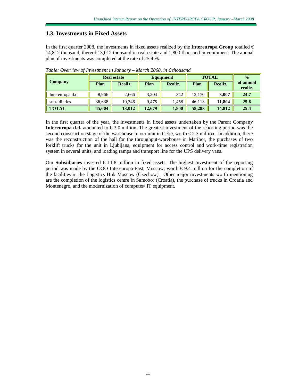#### **1.3. Investments in Fixed Assets**

In the first quarter 2008, the investments in fixed assets realized by the **Intereuropa Group** totalled  $\in$ 14,812 thousand, thereof 13,012 thousand in real estate and 1,800 thousand in equipment. The annual plan of investments was completed at the rate of 25.4 %.

|                  |        | <b>Real estate</b> |        | <b>Equipment</b> | <b>TOTAL</b> | $\frac{0}{0}$ |                      |
|------------------|--------|--------------------|--------|------------------|--------------|---------------|----------------------|
| Company          | Plan   | Realiz.            | Plan   | Realiz.          | Plan         | Realiz.       | of annual<br>realiz. |
| Intereuropa d.d. | 8,966  | 2,666              | 3.204  | 342              | 12.170       | 3.007         | 24.7                 |
| subsidiaries     | 36,638 | 10.346             | 9.475  | .458             | 46.113       | 11.804        | 25.6                 |
| <b>TOTAL</b>     | 45,604 | 13,012             | 12,679 | 1,800            | 58,283       | 14.812        | 25.4                 |

*Table: Overview of Investment in January – March 2008, in € thousand* 

In the first quarter of the year, the investments in fixed assets undertaken by the Parent Company **Intereuropa d.d.** amounted to  $\epsilon$ 3.0 million. The greatest investment of the reporting period was the second construction stage of the warehouse in our unit in Celje, worth  $\epsilon$ 2.3 million. In addition, there was the reconstruction of the hall for the throughput-warehouse in Maribor, the purchases of two forklift trucks for the unit in Ljubljana, equipment for access control and work-time registration system in several units, and loading ramps and transport line for the UPS delivery vans.

Our **Subsidiaries** invested  $\in$  11.8 million in fixed assets. The highest investment of the reporting period was made by the OOO Intereuropa-East, Moscow, worth  $\epsilon$ 9.4 million for the completion of the facilities in the Logistics Hub Moscow (Czechow). Other major investments worth mentioning are the completion of the logistics centre in Samobor (Croatia), the purchase of trucks in Croatia and Montenegro, and the modernization of computes/ IT equipment.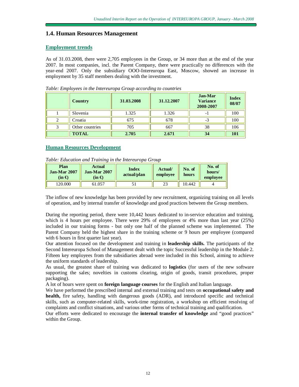### **1.4. Human Resources Management**

#### **Employment trends**

As of 31.03.2008, there were 2,705 employees in the Group, or 34 more than at the end of the year 2007. In most companies, incl. the Parent Company, there were practically no differences with the year-end 2007. Only the subsidiary OOO-Intereuropa East, Moscow, showed an increase in employment by 35 staff members dealing with the investment.

|   | <b>Country</b>  | 31.03.2008 | 31.12.2007 | <b>Jan-Mar</b><br><b>Variance</b><br>2008-2007 | <b>Index</b><br>08/07 |
|---|-----------------|------------|------------|------------------------------------------------|-----------------------|
|   | Slovenia        | 1.325      | 1.326      | - 1                                            | 100                   |
| 2 | Croatia         | 675        | 678        | $-3$                                           | 100                   |
| 3 | Other countries | 705        | 667        | 38                                             | 106                   |
|   | <b>TOTAL</b>    | 2.705      | 2.671      | 34                                             | <b>101</b>            |

*Table: Employees in the Intereuropa Group according to countries* 

#### **Human Resources Development**

| Table: Education and Training in the Intereuropa Group |  |  |  |
|--------------------------------------------------------|--|--|--|
|                                                        |  |  |  |

| Plan<br><b>Jan-Mar 2007</b><br>$(in \bigoplus$ | <b>Actual</b><br>Jan-Mar 2007.<br>(in €) | <b>Index</b><br>actual/plan | Actual/<br>employee | No. of<br>hours | No. of<br>hours/<br>employee |
|------------------------------------------------|------------------------------------------|-----------------------------|---------------------|-----------------|------------------------------|
| 20,000                                         | 61.057                                   |                             | ندڪ                 | 10.442          |                              |

The inflow of new knowledge has been provided by new recruitment, organizing training on all levels of operation, and by internal transfer of knowledge and good practices between the Group members.

During the reporting period, there were 10,442 hours dedicated to in-service education and training, which is 4 hours per employee. There were 29% of employees or 4% more than last year (25%) included in our training forms - but only one half of the planned scheme was implemented. The Parent Company held the highest share in the training scheme or 9 hours per employee (compared with 6 hours in first quarter last year).

Our attention focused on the development and training in **leadership skills.** The participants of the Second Intereuropa School of Management dealt with the topic Successful leadership in the Module 2. Fifteen key employees from the subsidiaries abroad were included in this School, aiming to achieve the uniform standards of leadership.

As usual, the greatest share of training was dedicated to **logistics** (for users of the new software supporting the sales; novelties in customs clearing, origin of goods, transit procedures, proper packaging).

A lot of hours were spent on **foreign language courses** for the English and Italian language.

We have performed the prescribed internal and external training and tests on **occupational safety and health,** fire safety, handling with dangerous goods (ADR), and introduced specific and technical skills, such as computer-related skills, work-time registration, a workshop on efficient resolving of complaints and conflict situations, and various other forms of technical training and qualification.

Our efforts were dedicated to encourage the **internal transfer of knowledge** and "good practices" within the Group.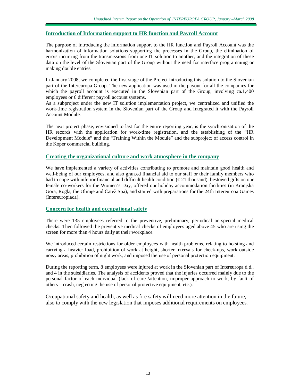#### **Introduction of Information support to HR function and Payroll Account**

The purpose of introducing the information support to the HR function and Payroll Account was the harmonization of information solutions supporting the processes in the Group, the elimination of errors incurring from the transmissions from one IT solution to another, and the integration of these data on the level of the Slovenian part of the Group without the need for interface programming or making double entries.

In January 2008, we completed the first stage of the Project introducing this solution to the Slovenian part of the Intereuropa Group. The new application was used in the payout for all the companies for which the payroll account is executed in the Slovenian part of the Group, involving ca.1,400 employees or 6 different payroll account systems.

As a subproject under the new IT solution implementation project, we centralized and unified the work-time registration system in the Slovenian part of the Group and integrated it with the Payroll Account Module.

The next project phase, envisioned to last for the entire reporting year, is the synchronisation of the HR records with the application for work-time registration, and the establishing of the "HR Development Module" and the "Training Within the Module" and the subproject of access control in the Koper commercial building.

#### **Creating the organizational culture and work atmosphere in the company**

We have implemented a variety of activities contributing to promote and maintain good health and well-being of our employees, and also granted financial aid to our staff or their family members who had to cope with inferior financial and difficult health condition  $(\epsilon 21$  thousand), bestowed gifts on our female co-workers for the Women's Day, offered our holiday accommodation facilities (in Kranjska Gora, Rogla, the Olimje and Čatež Spa), and started with preparations for the 24th Intereuropa Games (Intereuropiada).

#### **Concern for health and occupational safety**

There were 135 employees referred to the preventive, preliminary, periodical or special medical checks. Then followed the preventive medical checks of employees aged above 45 who are using the screen for more than 4 hours daily at their workplace.

We introduced certain restrictions for older employees with health problems, relating to hoisting and carrying a heavier load, prohibition of work at height, shorter intervals for check-ups, work outside noisy areas, prohibition of night work, and imposed the use of personal protection equipment.

During the reporting term, 8 employees were injured at work in the Slovenian part of Intereuropa d.d., and 4 in the subsidiaries. The analysis of accidents proved that the injuries occurred mainly due to the personal factor of each individual (lack of care /attention, improper approach to work, by fault of others – crash, neglecting the use of personal protective equipment, etc.).

Occupational safety and health, as well as fire safety will need more attention in the future, also to comply with the new legislation that imposes additional requirements on employees.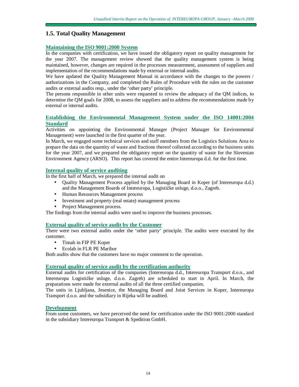## **1.5. Total Quality Management**

#### **Maintaining the ISO 9001:2000 System**

In the companies with certification, we have issued the obligatory report on quality management for the year 2007. The management review showed that the quality management system is being maintained, however, changes are required in the processes measurement, assessment of suppliers and implementation of the recommendations made by external or internal audits.

We have updated the Quality Management Manual in accordance with the changes to the powers / authorizations in the Company, and completed the Rules of Procedure with the rules on the customer audits or external audits resp., under the 'other party' principle.

The persons responsible in other units were requested to review the adequacy of the QM indices, to determine the QM goals for 2008, to assess the suppliers and to address the recommendations made by external or internal audits.

#### **Establishing the Environmental Management System under the ISO 14001:2004 Standard**

Activities on appointing the Environmental Manager (Project Manager for Environmental Management) were launched in the first quarter of the year.

In March, we engaged some technical services and staff members from the Logistics Solutions Area to prepare the data on the quantity of waste and fractions thereof collected according to the business units for the year 2007, and we prepared the obligatory report on the quantity of waste for the Slovenian Environment Agency (ARSO). This report has covered the entire Intereuropa d.d. for the first time.

#### **Internal quality of service auditing**

In the first half of March, we prepared the internal audit on

- Quality Management Process applied by the Managing Board in Koper (of Intereuropa d.d.) and the Management Boards of Intereuropa, Logističke usluge, d.o.o., Zagreb.
- Human Resources Management process
- Investment and property (real estate) management process
- Project Management process.

The findings from the internal audits were used to improve the business processes.

#### **External quality of service audit by the Customer**

There were two external audits under the 'other party' principle. The audits were executed by the customer.

- Timab in FIP PE Koper
- Ecolab in FLR PE Maribor

Both audits show that the customers have no major comment to the operation.

#### **External quality of service audit by the certification authority**

External audits for certification of the companies (Intereuropa d.d., Intereuropa Transport d.o.o., and Intereuropa Logističke usluge, d.o.o. Zagreb) are scheduled to start in April. In March, the preparations were made for external audits of all the three certified companies.

The units in Ljubljana, Jesenice, the Managing Board and Joint Services in Koper, Intereuropa Transport d.o.o. and the subsidiary in Rijeka will be audited.

#### **Development**

From some customers, we have perceived the need for certification under the ISO 9001:2000 standard in the subsidiary Intereuropa Transport & Spedition GmbH.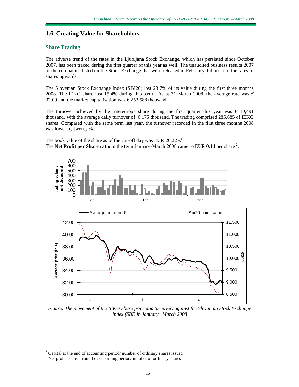#### **1.6. Creating Value for Shareholders**

#### **Share Trading**

The adverse trend of the rates in the Ljubljana Stock Exchange, which has persisted since October 2007, has been traced during the first quarter of this year as well. The unaudited business results 2007 of the companies listed on the Stock Exchange that were released in February did not turn the rates of shares upwards.

The Slovenian Stock Exchange Index (SBI20) lost 23.7% of its value during the first three months 2008. The IEKG share lost 15.4% during this term. As at 31 March 2008, the average rate was  $\epsilon$ 32.09 and the market capitalisation was  $\epsilon$ 253,588 thousand.

The turnover achieved by the Intereuropa share during the first quarter this year was  $\epsilon$  10,491 thousand, with the average daily turnover of  $\epsilon$  175 thousand. The trading comprised 285,685 of IEKG shares. Compared with the same term last year, the turnover recorded in the first three months 2008 was lower by twenty %.

The book value of the share as of the cut-off day was EUR 20.22  $\epsilon$ The **Net Profit per Share ratio** in the term January-March 2008 came to EUR 0.14 per share <sup>2</sup>.



*Figure: The movement of the IEKG Share price and turnover, against the Slovenian Stock Exchange Index (SBI) in January –March 2008*

-

 $1$  Capital at the end of accounting period/ number of ordinary shares issued

 $2$  Net profit or loss from the accounting period/ number of ordinary shares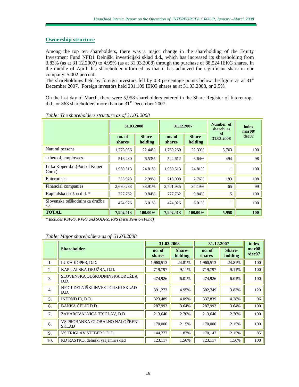### **Ownership structure**

Among the top ten shareholders, there was a major change in the shareholding of the Equity Investment Fund NFD1 Delniški investicijski sklad d.d., which has increased its shareholding from 3.83% (as at 31.12.2007) to 4.95% (as at 31.03.2008) through the purchase of 88,524 IEKG shares. In the middle of April this shareholder informed us that it has achieved the significant share in our company: 5.002 percent.

The shareholdings held by foreign investors fell by 0.3 percentage points below the figure as at  $31<sup>st</sup>$ December 2007. Foreign investors held 201,109 IEKG shares as at 31.03.2008, or 2.5%.

On the last day of March, there were 5,958 shareholders entered in the Share Register of Intereuropa d.d., or 363 shareholders more than on 31<sup>st</sup> December 2007.

|                                          | 31.03.2008              |                          | 31.12.2007              |                   | Number of<br>index<br>shareh. as<br>mar08/ |       |
|------------------------------------------|-------------------------|--------------------------|-------------------------|-------------------|--------------------------------------------|-------|
|                                          | no. of<br><b>shares</b> | <b>Share-</b><br>holding | no. of<br><b>shares</b> | Share-<br>holding | оf<br>31.03.2008                           | dec07 |
| Natural persons                          | 1,773,056               | 22.44%                   | 1,769,269               | 22.39%            | 5,703                                      | 100   |
| - thereof, employees                     | 516,480                 | 6.53%                    | 524,612                 | 6.64%             | 494                                        | 98    |
| Luka Koper d.d. (Port of Koper<br>Corp.) | 1,960,513               | 24.81%                   | 1,960,513               | 24.81%            |                                            | 100   |
| Enterprises                              | 235,923                 | 2.99%                    | 218,008                 | 2.76%             | 183                                        | 108   |
| Financial companies                      | 2,680,233               | 33.91%                   | 2,701,935               | 34.19%            | 65                                         | 99    |
| Kapitalska družba d.d. *                 | 777,762                 | 9.84%                    | 777,762                 | 9.84%             | 5                                          | 100   |
| Slovenska odškodninska družba<br>d.d.    | 474,926                 | 6.01%                    | 474,926                 | 6.01%             |                                            | 100   |
| <b>TOTAL</b>                             | 7,902,413               | 100.00%                  | 7,902,413               | 100.00%           | 5,958                                      | 100   |

*Table: The shareholders structure as of 31.03.2008* 

*\* Includes KSPPS, KVPS and SODPZ, PPS (First Pension Fund)*

#### *Table: Major shareholders as of 31.03.2008*

|                  |                                                | 31.03.2008              |                          | 31.12.2007              |                   | index                       |
|------------------|------------------------------------------------|-------------------------|--------------------------|-------------------------|-------------------|-----------------------------|
|                  | <b>Shareholder</b>                             | no. of<br><b>shares</b> | <b>Share-</b><br>holding | no. of<br><b>shares</b> | Share-<br>holding | mar <sub>08</sub><br>/dec07 |
| 1.               | LUKA KOPER. D.D.                               | 1,960,513               | 24.81%                   | 1,960,513               | 24.81%            | 100                         |
| 2.               | KAPITALSKA DRUŽBA, D.D.                        | 719,797                 | 9.11%                    | 719,797                 | 9.11%             | 100                         |
| 3.               | SLOVENSKA ODŠKODNINSKA DRUŽBA<br>D.D.          | 474,926                 | 6.01%                    | 474,926                 | 6.01%             | 100                         |
| $\overline{4}$ . | NFD 1 DELNIŠKI INVESTICIJSKI SKLAD<br>D.D.     | 391,273                 | 4.95%                    | 302,749                 | 3.83%             | 129                         |
| 5.               | INFOND ID, D.D.                                | 323,489                 | 4.09%                    | 337,839                 | 4.28%             | 96                          |
| 6.               | <b>BANKA CELJE D.D.</b>                        | 287,993                 | 3.64%                    | 287,993                 | 3.64%             | 100                         |
| 7.               | ZAVAROVALNICA TRIGLAV, D.D.                    | 213,640                 | 2.70%                    | 213,640                 | 2.70%             | 100                         |
| 6.               | VS PROBANKA GLOBALNO NALOŽBENI<br><b>SKLAD</b> | 170,000                 | 2.15%                    | 170,000                 | 2.15%             | 100                         |
| 9.               | VS TRIGLAV STEBER I, D.D.                      | 144,777                 | 1.83%                    | 170,147                 | 2.15%             | 85                          |
| 10.              | KD RASTKO, delniški vzajemni sklad             | 123,117                 | 1.56%                    | 123,117                 | 1.56%             | 100                         |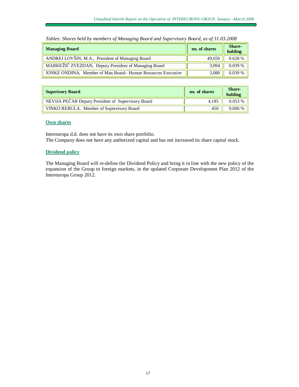| <b>Managing Board</b>                                         | no. of shares | Share-<br>holding |
|---------------------------------------------------------------|---------------|-------------------|
| ANDREJ LOVŠIN, M.A., President of Managing Board              | 49,650        | 0.628 %           |
| MARKEŽIČ ZVEZDAN, Deputy President of Managing Board          | 3.094         | 0.039%            |
| JONKE ONDINA, Member of Man. Board– Human Resources Executive | 3,080         | 0.039%            |

*Tables: Shares held by members of Managing Board and Supervisory Board, as of 31.03.2008* 

| <b>Superisory Board</b>                            | no. of shares | Share-<br>holding |
|----------------------------------------------------|---------------|-------------------|
| NEVIJA PEČAR Deputy President of Supervisory Board | 4.185         | 0.053%            |
| VINKO REBULA, Member of Suprevisory Board          | 450           | $0.006\%$         |

#### **Own shares**

Intereuropa d.d. does not have its own share portfolio. The Company does not have any authorized capital and has not increased its share capital stock.

#### **Dividend policy**

The Managing Board will re-define the Dividend Policy and bring it in line with the new policy of the expansion of the Group to foreign markets, in the updated Corporate Development Plan 2012 of the Intereuropa Group 2012.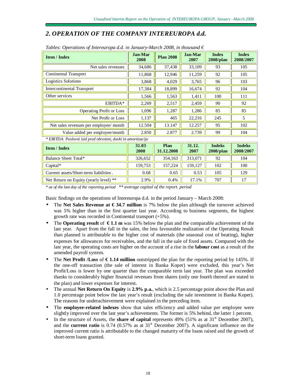## *2. OPERATION OF THE COMPANY INTEREUROPA d.d.*

| <b>Item / Index</b>                                          | <b>Jan-Mar</b><br>2008 | <b>Plan 2008</b>   | Jan-Mar<br>2007 | <b>Index</b><br>$2008$ /plan  | <b>Index</b><br>2008/2007  |  |
|--------------------------------------------------------------|------------------------|--------------------|-----------------|-------------------------------|----------------------------|--|
| Net sales revenues                                           | 34,686                 | 37,438             | 33,109          | 93                            | 105                        |  |
| <b>Continental Transport</b>                                 | 11,868                 | 12,946             | 11,259          | 92                            | 105                        |  |
| <b>Logistics Solutions</b>                                   | 3,868                  | 4,029              | 3,765           | 96                            | 103                        |  |
| <b>Intercontinental Transport</b>                            | 17,384                 | 18,899             | 16,674          | 92                            | 104                        |  |
| Other services                                               | 1,566                  | 1,563              | 1,411           | 100                           | 111                        |  |
| EBITDA*                                                      | 2,269                  | 2,517              | 2,459           | 90                            | 92                         |  |
| <b>Operating Profit or Loss</b>                              | 1,096                  | 1,287              | 1,286           | 85                            | 85                         |  |
| Net Profit or Loss                                           | 1,137                  | 465                | 22,216          | 245                           | 5                          |  |
| Net sales revenues per employee/ month                       | 12.504                 | 13.147             | 12.257          | 95                            | 102                        |  |
| Value added per employee/month                               | 2.850                  | 2.877              | 2.739           | 99                            | 104                        |  |
| * EBITDA: Poslovni izid pred obrestmi, davki in amortizacijo |                        |                    |                 |                               |                            |  |
| <b>Item / Index</b>                                          | 31.03<br>2008          | Plan<br>31.12.2008 | 31.12.<br>2007  | <b>Indeks</b><br>$2008$ /plan | <b>Indeks</b><br>2008/2007 |  |
| Balance Sheet Total*                                         | 326,652                | 354,163            | 313,071         | 92                            | 104                        |  |
| Capital*                                                     | 159,753                | 157,224            | 159,127         | 102                           | 100                        |  |

#### *Tables: Operations of Intereuropa d.d. in January-March* 2008, *in thousand*  $\epsilon$

*\* as of the last day of the reporting period \*\* average capital of the report. period*

Basic findings on the operations of Intereuropa d.d. in the period January – March 2008:

The **Net** Sales Revenue at  $\epsilon$  34.7 million is 7% below the plan although the turnover achieved was 5% higher than in the first quarter last year. According to business segments, the highest growth rate was recorded in Continental transport (+5%).

Current assets/Short-term liabilities . 0.68 0.65 0.53 105 129 Net Return on Equity (yearly level) \*\* 2.9% 0.4% 17.1% 707 17

- The **Operating result** of **€ 1.1 m** was 15% below the plan and the comparable achievement of the last year. Apart from the fall in the sales, the less favourable realization of the Operating Result than planned is attributable to the higher cost of materials (the seasonal cost of heating), higher expenses for allowances for receivables, and the fall in the sale of fixed assets. Compared with the last year, the operating costs are higher on the account of a rise in the **labour cost** as a result of the amended payroll system.
- The **Net Profit /Loss** of **€ 1.14 million** outstripped the plan for the reporting period by 145%. If the one-off transaction (the sale of interest in Banka Koper) were excluded, this year's Net Profit/Loss is lower by one quarter than the comparable term last year. The plan was exceeded thanks to considerably higher financial revenues from shares (only one fourth thereof are stated in the plan) and lower expenses for interest.
- The annual **Net Return On Equity** is **2.9% p.a.**, which is 2.5 percentage point above the Plan and 1.0 percentage point below the last year's result (excluding the sale investment in Banka Koper). The reasons for underachievement were explained in the preceding item.
- The **employee-related indexes** show that sales efficiency and added value per employee were slightly improved over the last year's achievements. The former is 5% behind, the latter 1 percent.
- In the structure of Assets, the **share of capital** represents  $49\%$  (51% as at 31<sup>st</sup> December 2007), and the **current ratio** is  $0.74$  ( $0.57\%$  as at  $31<sup>st</sup>$  December 2007). A significant influence on the improved current ratio is attributable to the changed maturity of the loans raised and the growth of short-term loans granted.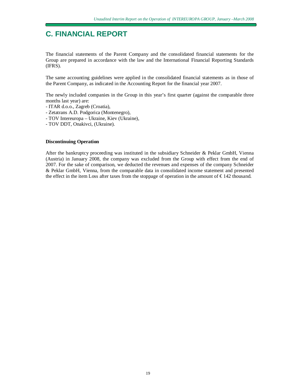## **C. FINANCIAL REPORT**

The financial statements of the Parent Company and the consolidated financial statements for the Group are prepared in accordance with the law and the International Financial Reporting Standards (IFRS).

The same accounting guidelines were applied in the consolidated financial statements as in those of the Parent Company, as indicated in the Accounting Report for the financial year 2007.

The newly included companies in the Group in this year's first quarter (against the comparable three months last year) are:

- ITAR d.o.o., Zagreb (Croatia),
- Zetatrans A.D. Podgorica (Montenegro),
- TOV Intereuropa Ukraine, Kiev (Ukraine),
- TOV DDT, Onakivci, (Ukraine).

#### **Discontinuing Operation**

After the bankruptcy proceeding was instituted in the subsidiary Schneider & Peklar GmbH, Vienna (Austria) in January 2008, the company was excluded from the Group with effect from the end of 2007. For the sake of comparison, we deducted the revenues and expenses of the company Schneider & Peklar GmbH, Vienna, from the comparable data in consolidated income statement and presented the effect in the item Loss after taxes from the stoppage of operation in the amount of  $\epsilon$ 142 thousand.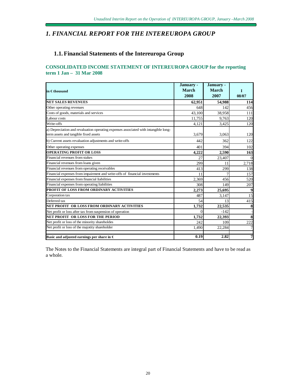## *1. FINANCIAL REPORT FOR THE INTEREUROPA GROUP*

# **1.1. Financial Statements of the Intereuropa Group**

#### **CONSOLIDATED INCOME STATEMENT OF INTEREUROPA GROUP for the reporting term 1 Jan – 31 Mar 2008**

| in €thousand                                                                                                                 | January -<br><b>March</b><br>2008 | January -<br><b>March</b><br>2007 | T<br>08/07 |
|------------------------------------------------------------------------------------------------------------------------------|-----------------------------------|-----------------------------------|------------|
| <b>NET SALES REVENUES</b>                                                                                                    | 62,951                            | 54,988                            | 114        |
| Other operating revenues                                                                                                     | 648                               | 142                               | 456        |
| Costs of goods, materials and services                                                                                       | 43,100                            | 38,958                            | 111        |
| Labour costs                                                                                                                 | 11,755                            | 9,763                             | 120        |
| Write-offs                                                                                                                   | 4,121                             | 3,425                             | 120        |
| a) Depreciation and revaluation operating expenses associated with intangible long-<br>term assets and tangible fixed assets | 3,679                             | 3,063                             | 120        |
| b) Current assets revaluation adjustments and write-offs                                                                     | 442                               | 362                               | 122        |
| Other operating expenses                                                                                                     | 401                               | 394                               | 102        |
| <b>OPERATING PROFIT OR LOSS</b>                                                                                              | 4.222                             | 2,590                             | 163        |
| Financial revenues from stakes                                                                                               | 27                                | 23,407                            | $\Omega$   |
| Financial revenues from loans given                                                                                          | 299                               | 11                                | 2,718      |
| Financial revenues from operating receivables                                                                                | 413                               | 299                               | 138        |
| Financial expenses from impairment and write-offs of financial investments                                                   | 11                                |                                   | 157        |
| Financial expenses from financial liabilities                                                                                | 2,369                             | 456                               | 520        |
| Financial expenses from operating liabilities                                                                                | 308                               | 149                               | 207        |
| PROFIT OF LOSS FROM ORDINARY ACTIVITIES                                                                                      | 2.273                             | 25,695                            | 9          |
| Corporation tax                                                                                                              | 487                               | 3,147                             | 15         |
| Deferred tax                                                                                                                 | 54                                | 13                                | 415        |
| NET PROFIT OR LOSS FROM ORDINARY ACTIVITIES                                                                                  | 1,732                             | 22,535                            | 8          |
| Net profit or loss after tax from suspension of operation                                                                    | $\Omega$                          | $-142$                            |            |
| NET PROFIT OR LOSS FOR THE PERIOD                                                                                            | 1,732                             | 22,393                            | 8          |
| Net profit or loss of the minority shareholdes                                                                               | 242                               | 109                               | 222        |
| Net profit or loss of the majotity shareholder                                                                               | 1,490                             | 22,284                            |            |
| Basic and adjusted earnings per share in $\epsilon$                                                                          | 0.19                              | 2.82                              | 7          |

The Notes to the Financial Statements are integral part of Financial Statements and have to be read as a whole.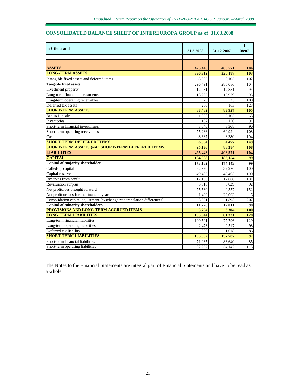## **CONSOLIDATED BALANCE SHEET OF INTEREUROPA GROUP as of 31.03.2008**

| $\mathop{\sf lin}\nolimits \in$ thousand                                  | 31.3.2008 | 31.12.2007 | $\mathbf I$<br>08/07 |
|---------------------------------------------------------------------------|-----------|------------|----------------------|
|                                                                           |           |            |                      |
|                                                                           |           |            |                      |
| <b>ASSETS</b>                                                             | 425,448   | 408,571    | 104                  |
| <b>LONG-TERM ASSETS</b>                                                   | 330.312   | 320,187    | 103                  |
| Intangible fixed assets and deferred items                                | 8,302     | 8,105      | 102                  |
| Tangible fixed assets                                                     | 296.491   | 285.086    | 104                  |
| Investment property                                                       | 12,031    | 12,831     | 94                   |
| Long-term financial investments                                           | 13,265    | 13.979     | 95                   |
| Long-term operating receivables                                           | 23        | 23         | 100                  |
| Deferred tax assets                                                       | 200       | 163        | 123                  |
| <b>SHORT-TERM ASSETS</b>                                                  | 88,482    | 83,927     | 105                  |
| Assets for sale                                                           | 1,326     | 2,105      | 63                   |
| <b>Inventories</b>                                                        | 137       | 150        | 91                   |
| Short-term financial investments                                          | 3,046     | 3,368      | 90                   |
| Short-term operating receivables                                          | 75.286    | 69.924     | 108                  |
| Cash                                                                      | 8,687     | 8,380      | 104                  |
| <b>SHORT-TERM DEFFERED ITEMS</b>                                          | 6,654     | 4,457      | 149                  |
| <b>SHORT-TERM ASSETS (with SHORT-TERM DEFFERED ITEMS)</b>                 | 95.136    | 88,384     | 108                  |
| <b>LIABILITIES</b>                                                        | 425,448   | 408,571    | 104                  |
| <b>CAPITAL</b>                                                            | 184,908   | 186,154    | 99                   |
| Capital of majority shareholder                                           | 173,182   | 174,143    | 99                   |
| Called-up capital                                                         | 32.976    | 32.976     | 100                  |
| Capital reserves                                                          | 49,403    | 49.403     | 100                  |
| Reserves from profit                                                      | 12,156    | 12,008     | 101                  |
| Revaluation surplus                                                       | 5,518     | 6,029      | 92                   |
| Net profit/loss brought forward                                           | 75,560    | 49,557     | 152                  |
| Net profit or loss for the financial year                                 | 1.490     | 26,063     | 6                    |
| Consolidation capital adjustment (exschange rate translation differences) | $-3,921$  | $-1,893$   | 207                  |
| <b>Capital of minority shareholders</b>                                   | 11,726    | 12.011     | 98                   |
| PROVISIONS AND LONG-TERM ACCRUED ITEMS                                    | 3,294     | 3,304      | <b>100</b>           |
| <b>LONG-TERM LIABILITIES</b>                                              | 103,944   | 81,331     | 128                  |
| Long-term financial liabilities                                           | 100,591   | 77,796     | 129                  |
| Long-term operating liabilities                                           | 2.473     | 2,517      | 98                   |
| Deferred tax liability                                                    | 880       | 1.018      | 86                   |
| <b>SHORT-TERM LIABILITIES</b>                                             | 133,302   | 137,782    | 97                   |
| Short-term financial liabilities                                          | 71.035    | 83.640     | 85                   |
| Short-term operating liabilities                                          | 62,267    | 54.142     | 115                  |

The Notes to the Financial Statements are integral part of Financial Statements and have to be read as a whole.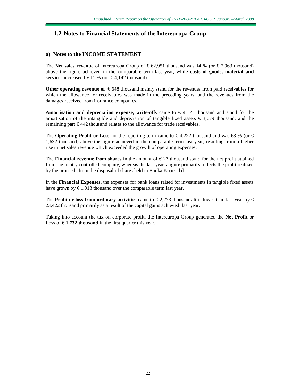## **1.2. Notes to Financial Statements of the Intereuropa Group**

#### **a) Notes to the INCOME STATEMENT**

The **Net sales revenue** of Intereuropa Group of  $\epsilon$  62,951 thousand was 14 % (or  $\epsilon$ 7,963 thousand) above the figure achieved in the comparable term last year, while **costs of goods, material and services** increased by 11 % (or  $\in$  4,142 thousand).

**Other operating revenue of** € 648 thousand mainly stand for the revenues from paid receivables for which the allowance for receivables was made in the preceding years, and the revenues from the damages received from insurance companies.

**Amortisation and depreciation expense, write-offs** came to € 4,121 thousand and stand for the amortisation of the intangible and depreciation of tangible fixed assets  $\epsilon$  3,679 thousand, and the remaining part € 442 thousand relates to the allowance for trade receivables.

The **Operating Profit or Loss** for the reporting term came to  $\epsilon$ 4,222 thousand and was 63 % (or  $\epsilon$ 1,632 thousand) above the figure achieved in the comparable term last year, resulting from a higher rise in net sales revenue which exceeded the growth of operating expenses.

The **Financial revenue from shares in** the amount of  $\epsilon$ 27 thousand stand for the net profit attained from the jointly controlled company, whereas the last year's figure primarily reflects the profit realized by the proceeds from the disposal of shares held in Banka Koper d.d.

In the **Financial Expenses,** the expenses for bank loans raised for investments in tangible fixed assets have grown by  $\epsilon$ 1,913 thousand over the comparable term last year.

The **Profit** or loss from ordinary activities came to  $\epsilon$  2,273 thousand. It is lower than last year by  $\epsilon$ 23,422 thousand primarily as a result of the capital gains achieved last year.

Taking into account the tax on corporate profit, the Intereuropa Group generated the **Net Profit** or Loss of **€ 1,732 thousand** in the first quarter this year.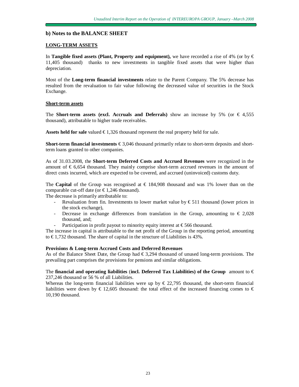#### **b) Notes to the BALANCE SHEET**

#### **LONG-TERM ASSETS**

In **Tangible fixed assets (Plant, Property and equipment), we have recorded a rise of 4% (or by**  $\in$ 11,405 thousand) thanks to new investments in tangible fixed assets that were higher than depreciation.

Most of the **Long-term financial investments** relate to the Parent Company. The 5% decrease has resulted from the revaluation to fair value following the decreased value of securities in the Stock Exchange.

#### **Short-term assets**

The **Short-term** assets (excl. Accruals and Deferrals) show an increase by 5% (or  $\in$  4,555 thousand), attributable to higher trade receivables.

Assets held for sale valued  $\epsilon$ 1,326 thousand represent the real property held for sale.

**Short-term <b>financial investments** €3,046 thousand primarily relate to short-term deposits and shortterm loans granted to other companies.

As of 31.03.2008, the **Short-term Deferred Costs and Accrued Revenues** were recognized in the amount of  $\epsilon$  6,654 thousand. They mainly comprise short-term accrued revenues in the amount of direct costs incurred, which are expected to be covered, and accrued (uninvoiced) customs duty.

The **Capital** of the Group was recognised at  $\in$  184,908 thousand and was 1% lower than on the comparable cut-off date (or  $\text{\textsterling}1,246$  thousand).

The decrease is primarily attributable to:

- Revaluation from fin. Investments to lower market value by  $\epsilon$  511 thousand (lower prices in the stock exchange),
- Decrease in exchange differences from translation in the Group, amounting to  $\epsilon$  2,028 thousand, and;
- Participation in profit payout to minority equity interest at  $\epsilon$ 566 thousand.

The increase in capital is attributable to the net profit of the Group in the reporting period, amounting to  $\epsilon$ 1,732 thousand. The share of capital in the structure of Liabilities is 43%.

#### **Provisions & Long-term Accrued Costs and Deferred Revenues**

As of the Balance Sheet Date, the Group had  $\epsilon$ 3,294 thousand of unused long-term provisions. The prevailing part comprises the provisions for pensions and similar obligations.

The **financial and operating liabilities** (incl. Deferred Tax Liabilities) of the Group amount to  $\epsilon$ 237,246 thousand or 56 % of all Liabilities.

Whereas the long-term financial liabilities were up by  $\epsilon$  22,795 thousand, the short-term financial liabilities were down by  $\epsilon$  12,605 thousand: the total effect of the increased financing comes to  $\epsilon$ 10,190 thousand.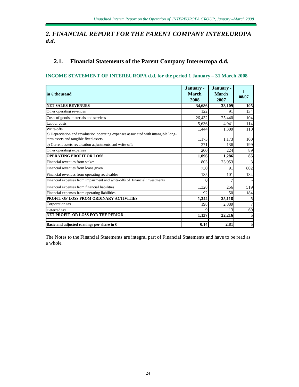## *2. FINANCIAL REPORT FOR THE PARENT COMPANY INTEREUROPA d.d.*

## **2.1. Financial Statements of the Parent Company Intereuropa d.d.**

## **INCOME STATEMENT OF INTEREUROPA d.d. for the period 1 January – 31 March 2008**

| $\mathop{\sf lin}\nolimits\mathop{\mathsf{Ethous}}\nolimits$                                                                 | January -<br><b>March</b><br>2008 | January -<br><b>March</b><br>2007 | L<br>08/07 |
|------------------------------------------------------------------------------------------------------------------------------|-----------------------------------|-----------------------------------|------------|
| <b>NET SALES REVENUES</b>                                                                                                    | 34,686                            | 33,109                            | 105        |
| Other operating revenues                                                                                                     | 122                               | 91                                | 134        |
| Costs of goods, materials and services                                                                                       | 26,432                            | 25,440                            | 104        |
| Labour costs                                                                                                                 | 5.636                             | 4.941                             | 114        |
| Write-offs                                                                                                                   | 1,444                             | 1,309                             | 110        |
| a) Depreciation and revaluation operating expenses associated with intangible long-<br>term assets and tangible fixed assets | 1,173                             | 1.173                             | 100        |
| b) Current assets revaluation adjustments and write-offs                                                                     | 271                               | 136                               | 199        |
| Other operating expenses                                                                                                     | 200                               | 224                               | 89         |
| <b>OPERATING PROFIT OR LOSS</b>                                                                                              | 1,096                             | 1,286                             | 85         |
| Financial revenues from stakes                                                                                               | 803                               | 23,953                            | 3          |
| Financial revenues from loans given                                                                                          | 730                               | 91                                | 802        |
| Financial revenues from operating receivables                                                                                | 135                               | 101                               | 134        |
| Financial expenses from impairment and write-offs of financial investments                                                   | 0                                 |                                   |            |
| Financial expenses from financial liabilities                                                                                | 1,328                             | 256                               | 519        |
| Financial expenses from operating liabilities                                                                                | 92                                | 50                                | 184        |
| PROFIT OF LOSS FROM ORDINARY ACTIVITIES                                                                                      | 1,344                             | 25,118                            | 5          |
| Corporation tax                                                                                                              | 198                               | 2,889                             | 7          |
| Deferred tax                                                                                                                 | $\mathbf Q$                       | 13                                | 69         |
| NET PROFIT OR LOSS FOR THE PERIOD                                                                                            | 1,137                             | 22,216                            | 5          |
| Basic and adjusted earnings per share in $\epsilon$                                                                          | 0.14                              | 2.81                              | 5          |

The Notes to the Financial Statements are integral part of Financial Statements and have to be read as a whole.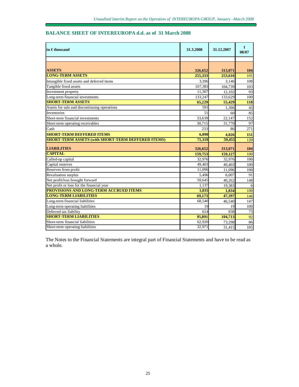### **BALANCE SHEET OF INTEREUROPA d.d. as of 31 March 2008**

| in $\epsilon$ thousand                                    | 31.3.2008 | 31.12.2007 | $\mathbf{I}$<br>08/07 |
|-----------------------------------------------------------|-----------|------------|-----------------------|
|                                                           |           |            |                       |
|                                                           |           |            |                       |
| <b>ASSETS</b>                                             | 326,652   | 313,071    | 104                   |
| <b>LONG-TERM ASSETS</b>                                   | 255,333   | 253,616    | 101                   |
| Intangible fixed assets and deferred items                | 3,396     | 3.146      | 108                   |
| Tangible fixed assets                                     | 107,383   | 104,739    | 103                   |
| Investment property                                       | 11,307    | 12,102     | 93                    |
| Long-term financial investments                           | 133,247   | 133.629    | 100                   |
| <b>SHORT-TERM ASSETS</b>                                  | 65,229    | 55,429     | 118                   |
| Assets for sale and discontinuing operations              | 591       | 1,366      | 43                    |
| Inventories                                               | 51        | 60         | 85                    |
| Short-term financial investments                          | 33.639    | 22.147     | 152                   |
| Short-term operating receivables                          | 30,715    | 31.770     | 97                    |
| Cash                                                      | 233       | 86         | $\overline{271}$      |
| <b>SHORT-TERM DEFFERED ITEMS</b>                          | 6,090     | 4,026      | 151                   |
| <b>SHORT-TERM ASSETS (with SHORT-TERM DEFFERED ITEMS)</b> | 71,319    | 59.455     | 120                   |
| <b>LIABILITIES</b>                                        | 326,652   | 313,071    | 104                   |
| <b>CAPITAL</b>                                            | 159,753   | 159,127    | 100                   |
| Called-up capital                                         | 32.976    | 32,976     | 100                   |
| Capital reserves                                          | 49,403    | 49,403     | 100                   |
| Reserves from profit                                      | 11,096    | 11.096     | 100                   |
| Revaluation surplus                                       | 5,496     | 6,007      | 91                    |
| Net profit/loss brought forward                           | 59.645    | 40.262     | 148                   |
| Net profit or loss for the financial year                 | 1,137     | 19,383     | 6                     |
| <b>PROVISIONS AND LONG-TERM ACCRUED ITEMS</b>             | 1.835     | 1,834      | 100                   |
| <b>LONG-TERM LIABILITIES</b>                              | 69,173    | 47,397     | 146                   |
| Long-term financial liabilities                           | 68,540    | 46.540     | 147                   |
| Long-term operating liabilities                           | 19        | 19         | 100                   |
| Deferred tax liability                                    | 614       | 838        | 73                    |
| <b>SHORT-TERM LIABILITIES</b>                             | 95.891    | 104,713    | 92                    |
| Short-term financial liabilities                          | 62.920    | 73,298     | 86                    |
| Short-term operating liabilities                          | 32,971    | 31,415     | 105                   |

The Notes to the Financial Statements are integral part of Financial Statements and have to be read as a whole.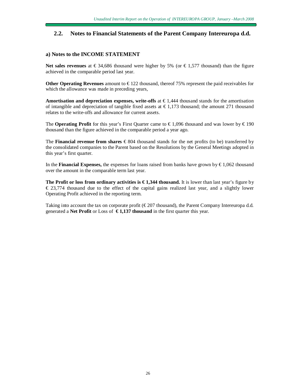## **2.2. Notes to Financial Statements of the Parent Company Intereuropa d.d.**

#### **a) Notes to the INCOME STATEMENT**

**Net sales revenues** at €34,686 thousand were higher by 5% (or €1,577 thousand) than the figure achieved in the comparable period last year.

**Other Operating Revenues** amount to € 122 thousand, thereof 75% represent the paid receivables for which the allowance was made in preceding years,

**Amortisation and depreciation expenses, write-offs** at € 1,444 thousand stands for the amortisation of intangible and depreciation of tangible fixed assets at  $\epsilon$ 1,173 thousand; the amount 271 thousand relates to the write-offs and allowance for current assets.

The **Operating Profit** for this year's First Quarter came to  $\epsilon$  1,096 thousand and was lower by  $\epsilon$  190 thousand than the figure achieved in the comparable period a year ago.

The **Financial revenue from shares** € 804 thousand stands for the net profits (to be) transferred by the consolidated companies to the Parent based on the Resolutions by the General Meetings adopted in this year's first quarter.

In the **Financial Expenses,** the expenses for loans raised from banks have grown by  $\epsilon$ 1,062 thousand over the amount in the comparable term last year.

**The Profit or loss from ordinary activities is € 1,344 thousand.** It is lower than last year's figure by  $\epsilon$  23,774 thousand due to the effect of the capital gains realized last year, and a slightly lower Operating Profit achieved in the reporting term.

Taking into account the tax on corporate profit ( $\epsilon$ 207 thousand), the Parent Company Intereuropa d.d. generated a **Net Profit** or Loss of **€ 1,137 thousand** in the first quarter this year.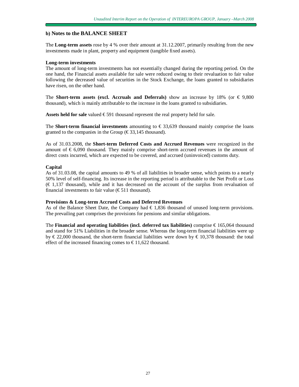#### **b) Notes to the BALANCE SHEET**

The **Long-term assets** rose by 4 % over their amount at 31.12.2007, primarily resulting from the new investments made in plant, property and equipment (tangible fixed assets).

#### **Long-term investments**

The amount of long-term investments has not essentially changed during the reporting period. On the one hand, the Financial assets available for sale were reduced owing to their revaluation to fair value following the decreased value of securities in the Stock Exchange, the loans granted to subsidiaries have risen, on the other hand.

The **Short-term** assets (excl. Accruals and Deferrals) show an increase by 18% (or  $\in$  9,800 thousand), which is mainly attributable to the increase in the loans granted to subsidiaries.

Assets held for sale valued €591 thousand represent the real property held for sale.

The **Short-term financial investments** amounting to  $\epsilon$  33,639 thousand mainly comprise the loans granted to the companies in the Group ( $\epsilon$ 33,145 thousand).

As of 31.03.2008, the **Short-term Deferred Costs and Accrued Revenues** were recognized in the amount of  $\epsilon$  6,090 thousand. They mainly comprise short-term accrued revenues in the amount of direct costs incurred, which are expected to be covered, and accrued (uninvoiced) customs duty.

#### **Capital**

As of 31.03.08, the capital amounts to 49 % of all liabilities in broader sense, which points to a nearly 50% level of self-financing. Its increase in the reporting period is attributable to the Net Profit or Loss  $(\infty)$  1,137 thousand), while and it has decreased on the account of the surplus from revaluation of financial investments to fair value  $(\text{\textsterling}511$  thousand).

#### **Provisions & Long-term Accrued Costs and Deferred Revenues**

As of the Balance Sheet Date, the Company had  $\epsilon$  1,836 thousand of unused long-term provisions. The prevailing part comprises the provisions for pensions and similar obligations.

The **Financial and operating liabilities (incl. deferred tax liabilities)** comprise € 165,064 thousand and stand for 51% Liabilities in the broader sense. Whereas the long-term financial liabilities were up by  $\epsilon$  22,000 thousand, the short-term financial liabilities were down by  $\epsilon$  10,378 thousand: the total effect of the increased financing comes to  $\epsilon$ 11,622 thousand.